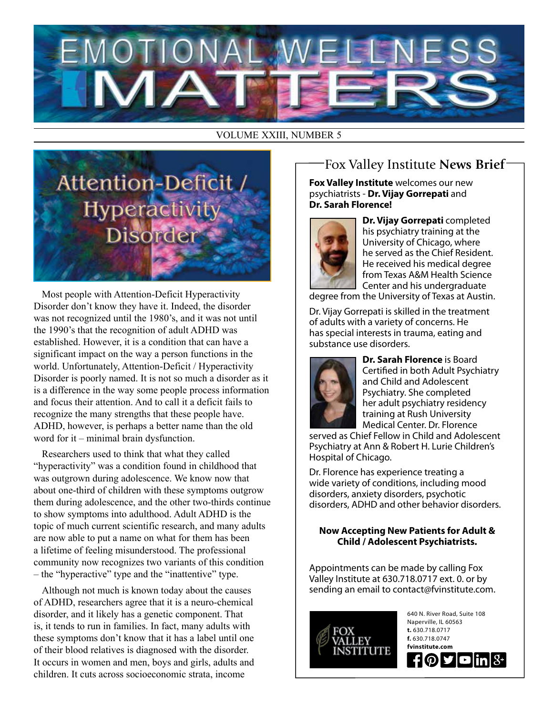

VOLUME XXIII, NUMBER 5



Most people with Attention-Deficit Hyperactivity Disorder don't know they have it. Indeed, the disorder was not recognized until the 1980's, and it was not until the 1990's that the recognition of adult ADHD was established. However, it is a condition that can have a significant impact on the way a person functions in the world. Unfortunately, Attention-Deficit / Hyperactivity Disorder is poorly named. It is not so much a disorder as it is a difference in the way some people process information and focus their attention. And to call it a deficit fails to recognize the many strengths that these people have. ADHD, however, is perhaps a better name than the old word for it – minimal brain dysfunction.

Researchers used to think that what they called "hyperactivity" was a condition found in childhood that was outgrown during adolescence. We know now that about one-third of children with these symptoms outgrow them during adolescence, and the other two-thirds continue to show symptoms into adulthood. Adult ADHD is the topic of much current scientific research, and many adults are now able to put a name on what for them has been a lifetime of feeling misunderstood. The professional community now recognizes two variants of this condition – the "hyperactive" type and the "inattentive" type.

Although not much is known today about the causes of ADHD, researchers agree that it is a neuro-chemical disorder, and it likely has a genetic component. That is, it tends to run in families. In fact, many adults with these symptoms don't know that it has a label until one of their blood relatives is diagnosed with the disorder. It occurs in women and men, boys and girls, adults and children. It cuts across socioeconomic strata, income

## Fox Valley Institute **News Brief**

**Fox Valley Institute** welcomes our new psychiatrists - **Dr. Vijay Gorrepati** and **Dr. Sarah Florence!**



**Dr. Vijay Gorrepati** completed his psychiatry training at the University of Chicago, where he served as the Chief Resident. He received his medical degree from Texas A&M Health Science Center and his undergraduate

degree from the University of Texas at Austin.

Dr. Vijay Gorrepati is skilled in the treatment of adults with a variety of concerns. He has special interests in trauma, eating and substance use disorders.



**Dr. Sarah Florence** is Board Certified in both Adult Psychiatry and Child and Adolescent Psychiatry. She completed her adult psychiatry residency training at Rush University Medical Center. Dr. Florence

served as Chief Fellow in Child and Adolescent Psychiatry at Ann & Robert H. Lurie Children's Hospital of Chicago.

Dr. Florence has experience treating a wide variety of conditions, including mood disorders, anxiety disorders, psychotic disorders, ADHD and other behavior disorders.

#### **Now Accepting New Patients for Adult & Child / Adolescent Psychiatrists.**

Appointments can be made by calling Fox Valley Institute at 630.718.0717 ext. 0. or by sending an email to contact@fvinstitute.com.



640 N. River Road, Suite 108 Naperville, IL 60563 **t.** 630.718.0717 **f.** 630.718.0747 **fvinstitute.com** ものす  $\blacksquare$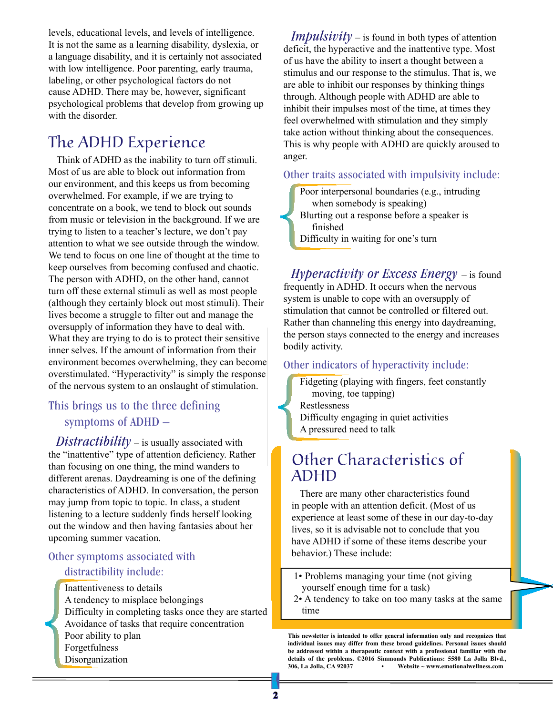levels, educational levels, and levels of intelligence. It is not the same as a learning disability, dyslexia, or a language disability, and it is certainly not associated with low intelligence. Poor parenting, early trauma, labeling, or other psychological factors do not cause ADHD. There may be, however, significant psychological problems that develop from growing up with the disorder.

## The ADHD Experience

Think of ADHD as the inability to turn off stimuli. Most of us are able to block out information from our environment, and this keeps us from becoming overwhelmed. For example, if we are trying to concentrate on a book, we tend to block out sounds from music or television in the background. If we are trying to listen to a teacher's lecture, we don't pay attention to what we see outside through the window. We tend to focus on one line of thought at the time to keep ourselves from becoming confused and chaotic. The person with ADHD, on the other hand, cannot turn off these external stimuli as well as most people (although they certainly block out most stimuli). Their lives become a struggle to filter out and manage the oversupply of information they have to deal with. What they are trying to do is to protect their sensitive inner selves. If the amount of information from their environment becomes overwhelming, they can become overstimulated. "Hyperactivity" is simply the response of the nervous system to an onslaught of stimulation.

### This brings us to the three defining symptoms of ADHD –

*Distractibility* – is usually associated with the "inattentive" type of attention deficiency. Rather than focusing on one thing, the mind wanders to different arenas. Daydreaming is one of the defining characteristics of ADHD. In conversation, the person may jump from topic to topic. In class, a student listening to a lecture suddenly finds herself looking out the window and then having fantasies about her upcoming summer vacation.

#### Other symptoms associated with distractibility include:

Inattentiveness to details A tendency to misplace belongings Difficulty in completing tasks once they are started Avoidance of tasks that require concentration Poor ability to plan Forgetfulness Disorganization

*Impulsivity* – is found in both types of attention deficit, the hyperactive and the inattentive type. Most of us have the ability to insert a thought between a stimulus and our response to the stimulus. That is, we are able to inhibit our responses by thinking things through. Although people with ADHD are able to inhibit their impulses most of the time, at times they feel overwhelmed with stimulation and they simply take action without thinking about the consequences. This is why people with ADHD are quickly aroused to anger.

#### Other traits associated with impulsivity include:

Poor interpersonal boundaries (e.g., intruding when somebody is speaking) Blurting out a response before a speaker is finished Difficulty in waiting for one's turn

*Hyperactivity or Excess Energy* – is found frequently in ADHD. It occurs when the nervous system is unable to cope with an oversupply of stimulation that cannot be controlled or filtered out. Rather than channeling this energy into daydreaming, the person stays connected to the energy and increases bodily activity.

#### Other indicators of hyperactivity include:

Fidgeting (playing with fingers, feet constantly moving, toe tapping) Restlessness Difficulty engaging in quiet activities A pressured need to talk

## Other Characteristics of ADHD

There are many other characteristics found in people with an attention deficit. (Most of us experience at least some of these in our day-to-day lives, so it is advisable not to conclude that you have ADHD if some of these items describe your behavior.) These include:

- 1• Problems managing your time (not giving yourself enough time for a task)
- 2• A tendency to take on too many tasks at the same time

**This newsletter is intended to offer general information only and recognizes that individual issues may differ from these broad guidelines. Personal issues should be addressed within a therapeutic context with a professional familiar with the details of the problems. ©2016 Simmonds Publications: 5580 La Jolla Blvd., 306, La Jolla, CA 92037 • Website ~ www.emotionalwellness.com**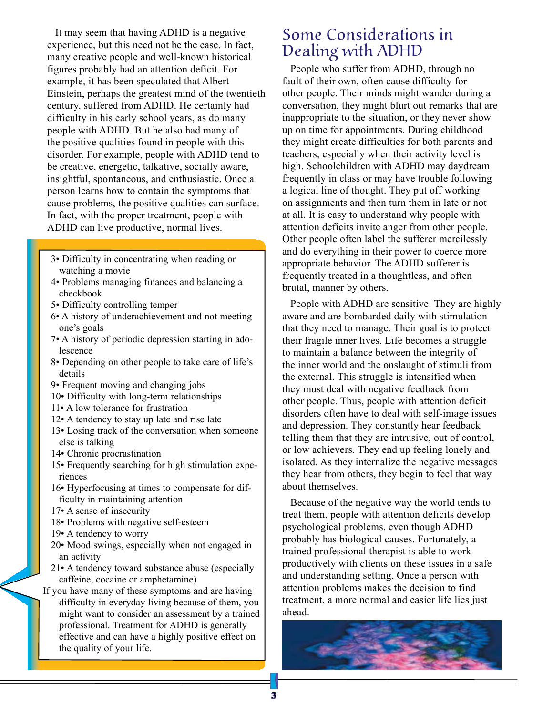It may seem that having ADHD is a negative experience, but this need not be the case. In fact, many creative people and well-known historical figures probably had an attention deficit. For example, it has been speculated that Albert Einstein, perhaps the greatest mind of the twentieth century, suffered from ADHD. He certainly had difficulty in his early school years, as do many people with ADHD. But he also had many of the positive qualities found in people with this disorder. For example, people with ADHD tend to be creative, energetic, talkative, socially aware, insightful, spontaneous, and enthusiastic. Once a person learns how to contain the symptoms that cause problems, the positive qualities can surface. In fact, with the proper treatment, people with ADHD can live productive, normal lives.

- 3• Difficulty in concentrating when reading or watching a movie
- 4• Problems managing finances and balancing a checkbook
- 5• Difficulty controlling temper
- 6• A history of underachievement and not meeting one's goals
- 7• A history of periodic depression starting in adolescence
- 8• Depending on other people to take care of life's details
- 9• Frequent moving and changing jobs
- 10• Difficulty with long-term relationships
- 11• A low tolerance for frustration
- 12• A tendency to stay up late and rise late
- 13• Losing track of the conversation when someone else is talking
- 14• Chronic procrastination
- 15• Frequently searching for high stimulation experiences
- 16• Hyperfocusing at times to compensate for difficulty in maintaining attention
- 17• A sense of insecurity
- 18• Problems with negative self-esteem
- 19• A tendency to worry
- 20• Mood swings, especially when not engaged in an activity
- 21• A tendency toward substance abuse (especially caffeine, cocaine or amphetamine)
- If you have many of these symptoms and are having difficulty in everyday living because of them, you might want to consider an assessment by a trained professional. Treatment for ADHD is generally effective and can have a highly positive effect on the quality of your life.

## Some Considerations in Dealing with ADHD

People who suffer from ADHD, through no fault of their own, often cause difficulty for other people. Their minds might wander during a conversation, they might blurt out remarks that are inappropriate to the situation, or they never show up on time for appointments. During childhood they might create difficulties for both parents and teachers, especially when their activity level is high. Schoolchildren with ADHD may daydream frequently in class or may have trouble following a logical line of thought. They put off working on assignments and then turn them in late or not at all. It is easy to understand why people with attention deficits invite anger from other people. Other people often label the sufferer mercilessly and do everything in their power to coerce more appropriate behavior. The ADHD sufferer is frequently treated in a thoughtless, and often brutal, manner by others.

People with ADHD are sensitive. They are highly aware and are bombarded daily with stimulation that they need to manage. Their goal is to protect their fragile inner lives. Life becomes a struggle to maintain a balance between the integrity of the inner world and the onslaught of stimuli from the external. This struggle is intensified when they must deal with negative feedback from other people. Thus, people with attention deficit disorders often have to deal with self-image issues and depression. They constantly hear feedback telling them that they are intrusive, out of control, or low achievers. They end up feeling lonely and isolated. As they internalize the negative messages they hear from others, they begin to feel that way about themselves.

Because of the negative way the world tends to treat them, people with attention deficits develop psychological problems, even though ADHD probably has biological causes. Fortunately, a trained professional therapist is able to work productively with clients on these issues in a safe and understanding setting. Once a person with attention problems makes the decision to find treatment, a more normal and easier life lies just ahead.